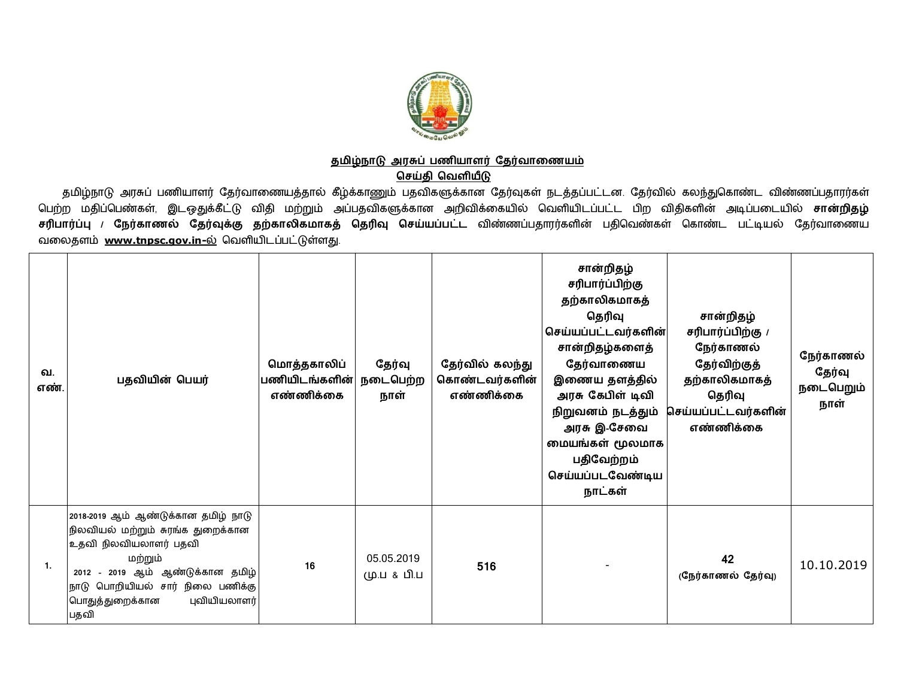

## <u>தமிழ்நாடு அரசுப் பணியாளர் தேர்வாணையம்</u>

**ெசதி ெவளய**

தமிழ்நாடு அரசுப் பணியாளர் தேர்வாணையத்தால் கீழ்க்காணும் பதவிகளுக்கான தேர்வுகள் நடத்தப்பட்டன. தேர்வில் கலந்துகொண்ட விண்ணப்பதாரர்கள் பெற்ற மதிப்பெண்கள், இடஒதுக்கீட்டு விதி மற்றும் அப்பதவிகளுக்கான அறிவிக்கையில் வெளியிடப்பட்ட பிற விதிகளின் அடிப்படையில் **சான்றிதழ்** <mark>சரிபார்ப்பு / நேர்காணல் தேர்வுக்கு தற்காலிகமாகத் தெரிவு செய்யப்பட்ட விண்ணப்பதாரர்களின் பதிவெண்கள் கொண்ட பட்டியல் தேர்வாணைய</mark> வலைதளம் [www.tnpsc.gov.in-](http://www.tnpsc.gov.in-)ல் வெளியிடப்பட்டுள்ளது.

| வ.<br>எண் | பதவியின் பெயர்                                                                                                                                                                                                                   | மொத்தகாலிப்<br>பணியிடங்களின்<br>எண்ணிக்கை | தேர்வு<br>நடைபெற்ற<br>நாள் | தேர்வில் கலந்து<br>கொண்டவர்களின்<br>எண்ணிக்கை | சான்றிதழ்<br>சரிபார்ப்பிற்கு<br>தற்காலிகமாகத்<br>தெரிவு<br>செய்யப்பட்டவர்களின் <br>சான்றிதழ்களைத்<br>தேர்வாணைய<br>இணைய தளத்தில்<br>அரசு கேபிள் டிவி<br>நிறுவனம் நடத்தும்<br>அரசு இ-சேவை<br>மையங்கள் மூலமாக<br>பதிவேற்றம்<br>செய்யப்படவேண்டிய<br>நாட்கள் | சான்றிதழ்<br>சரிபார்ப்பிற்கு /<br>நேர்காணல்<br>தேர்விற்குத்<br>தற்காலிகமாகத்<br>தெரிவு<br>செய்யப்பட்டவர்களின்<br>எண்ணிக்கை | நேர்காணல்<br>தேர்வு<br>நடைபெறும்<br>நாள் |
|-----------|----------------------------------------------------------------------------------------------------------------------------------------------------------------------------------------------------------------------------------|-------------------------------------------|----------------------------|-----------------------------------------------|---------------------------------------------------------------------------------------------------------------------------------------------------------------------------------------------------------------------------------------------------------|----------------------------------------------------------------------------------------------------------------------------|------------------------------------------|
| 1.        | 2018-2019 ஆம் ஆண்டுக்கான தமிழ் நாடு<br>நிலவியல் மற்றும் சுரங்க துறைக்கான<br>உதவி நிலவியலாளர் பதவி<br>மற்றும்<br>2012 - 2019 ஆம் ஆண்டுக்கான தமிழ்<br>நாடு பொறியியல் சார் நிலை பணிக்கு<br>புவியியலாளர்<br>பொதுத்துறைக்கான<br> பதவி | 16                                        | 05.05.2019<br>மு.ப & பி.ப  | 516                                           |                                                                                                                                                                                                                                                         | 42<br>(நேர்காணல் தேர்வு)                                                                                                   | 10.10.2019                               |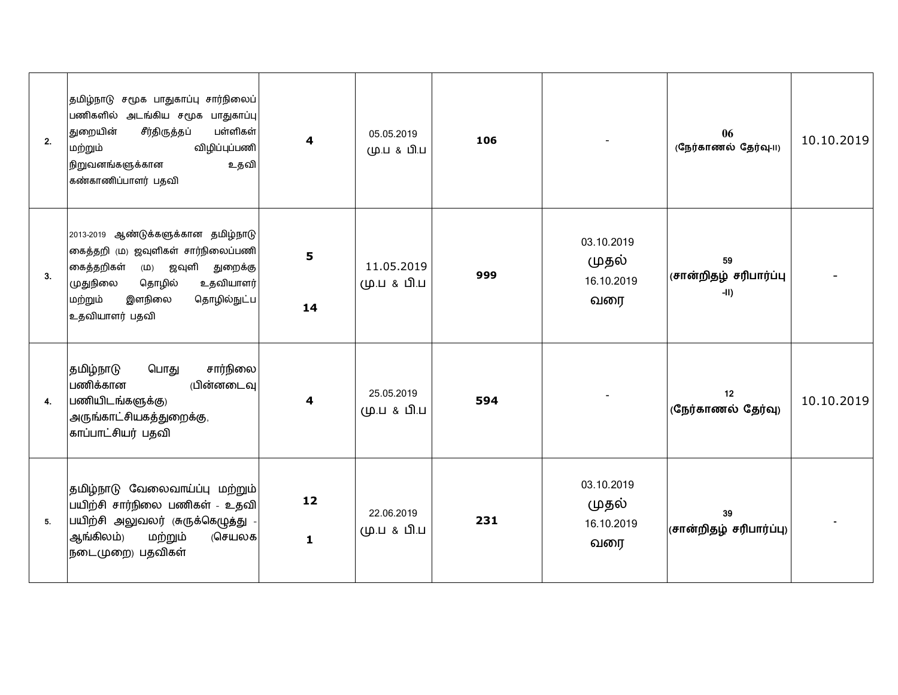| 2. | தமிழ்நாடு சமூக பாதுகாப்பு சார்நிலைப்<br>பணிகளில் அடங்கிய சமூக பாதுகாப்பு<br>துறையின்<br>பள்ளிகள்<br>சீர்திருத்தப்<br>விழிப்புப்பணி<br>மற்றும்<br>நிறுவனங்களுக்கான<br>உதவி<br>கண்காணிப்பாளர் பதவி    | $\overline{\mathbf{4}}$ | 05.05.2019<br>மு.ப & பி.ப | 106 |                                          | 06<br>(நேர்காணல் தேர்வு-11)          | 10.10.2019 |
|----|-----------------------------------------------------------------------------------------------------------------------------------------------------------------------------------------------------|-------------------------|---------------------------|-----|------------------------------------------|--------------------------------------|------------|
| 3. | 2013-2019 ஆண்டுக்களுக்கான தமிழ்நாடு<br>கைத்தறி (ம) ஜவுளிகள் சார்நிலைப்பணி<br>கைத்தறிகள் (ம) ஜவுளி துறைக்கு<br>உதவியாளர்<br>முதுநிலை<br>தொழில்<br>இளநிலை<br>தொழில்நுட்ப<br>மற்றும்<br>உதவியாளர் பதவி | 5<br>14                 | 11.05.2019<br>மு.ப & பி.ப | 999 | 03.10.2019<br>முதல்<br>16.10.2019<br>வரை | 59<br>(சான்றிதழ் சரிபார்ப்பு<br>-II) |            |
| 4. | சார்நிலை<br>தமிழ்நாடு<br>பொது<br>பணிக்கான<br>(பின்னடைவு<br>பணியிடங்களுக்கு)<br>அருங்காட்சியகத்துறைக்கு,<br>காப்பாட்சியர் பதவி                                                                       | 4                       | 25.05.2019<br>மு.ப & பி.ப | 594 |                                          | 12<br>(நேர்காணல் தேர்வு)             | 10.10.2019 |
| 5. | தமிழ்நாடு வேலைவாய்ப்பு மற்றும்<br>பயிற்சி சார்நிலை பணிகள் - உதவி<br>பயிற்சி அலுவலர் (சுருக்கெழுத்து -<br>ஆங்கிலம்)<br>மற்றும்<br>(செயலக<br>நடைமுறை) பதவிகள்                                         | 12<br>$\mathbf{1}$      | 22.06.2019<br>மு.ப & பி.ப | 231 | 03.10.2019<br>முதல்<br>16.10.2019<br>வரை | 39<br>(சான்றிதழ் சரிபார்ப்பு)        |            |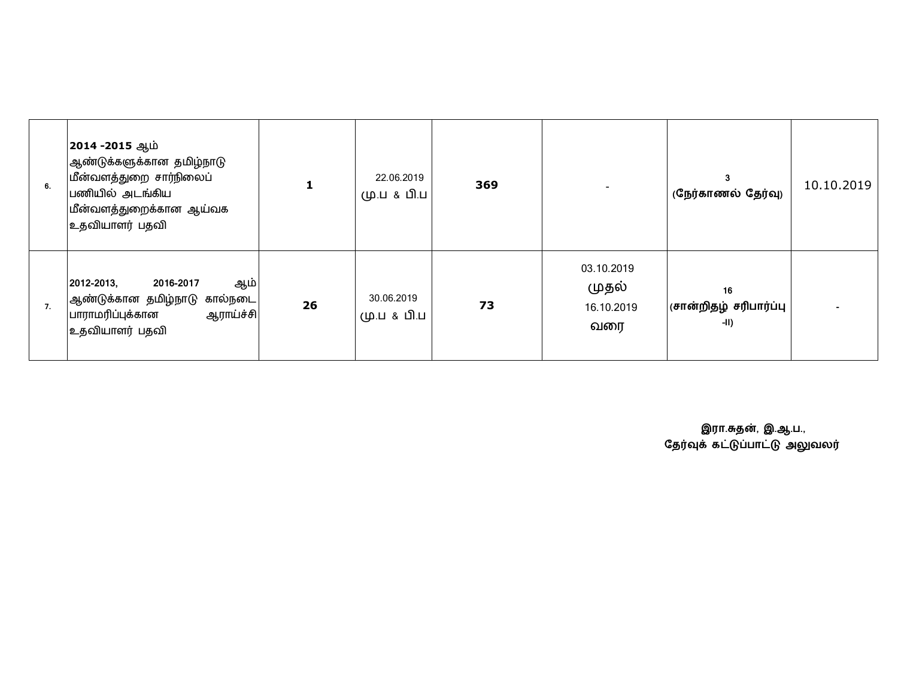| 6. | 2014 -2015 ஆம்<br> ஆண்டுக்களுக்கான தமிழ்நாடு<br>மீன்வளத்துறை சார்நிலைப்<br>பணியில் அடங்கிய<br>மீன்வளத்துறைக்கான ஆய்வக<br>உதவியாளர் பதவி | 1  | 22.06.2019<br>மு.ப & பி.ப | 369 |                                          | 3<br>(நேர்காணல் தேர்வு)                | 10.10.2019 |
|----|-----------------------------------------------------------------------------------------------------------------------------------------|----|---------------------------|-----|------------------------------------------|----------------------------------------|------------|
| 7. | ஆம் <br>2012-2013,<br>2016-2017<br> ஆண்டுக்கான தமிழ்நாடு கால்நடை<br>பாராமரிப்புக்கான<br>ஆராய்ச்சி<br>உதவியாளர் பதவி                     | 26 | 30.06.2019<br>மு.ப & பி.ப | 73  | 03.10.2019<br>முதல்<br>16.10.2019<br>வரை | 16<br>(சான்றிதழ் சரிபார்ப்பு<br>$-11)$ |            |

 **இரா.த}, இ.ஆ.ப.,** தேர்வுக் கட்டுப்பாட்டு அலுவலர்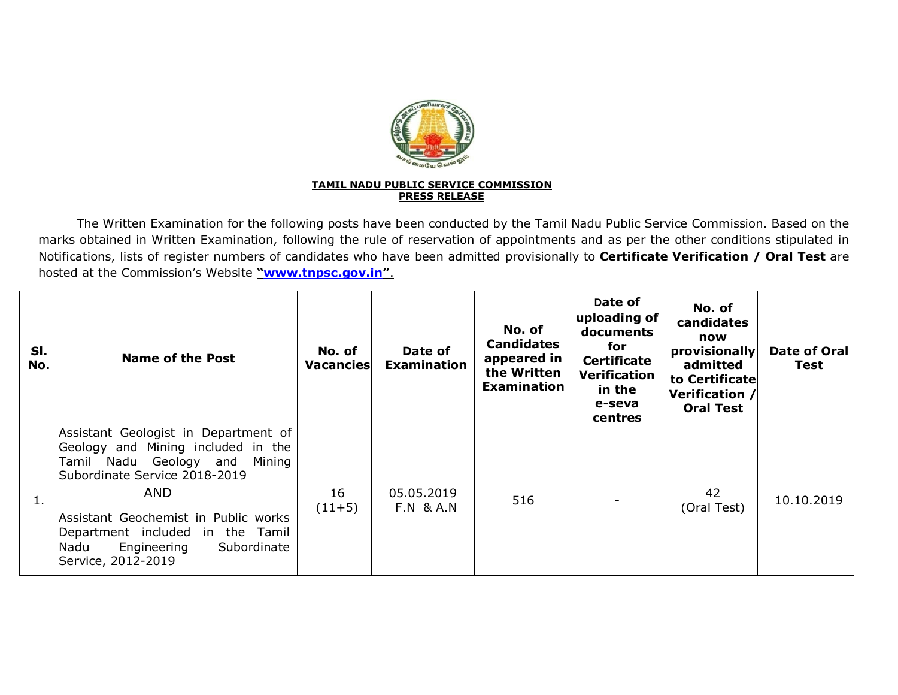

## **TAMIL NADU PUBLIC SERVICE COMMISSION PRESS RELEASE**

The Written Examination for the following posts have been conducted by the Tamil Nadu Public Service Commission. Based on the marks obtained in Written Examination, following the rule of reservation of appointments and as per the other conditions stipulated in Notifications, lists of register numbers of candidates who have been admitted provisionally to **Certificate Verification / Oral Test** are hosted at the Commission's Website **"[www.tnpsc.gov.in](http://www.tnpsc.gov.in)"**.

| SI.<br>No. | <b>Name of the Post</b>                                                                                                                                                                                                                                                                               | No. of<br><b>Vacancies</b> | Date of<br><b>Examination</b>      | No. of<br><b>Candidates</b><br>appeared in<br>the Written<br>Examination | Date of<br>uploading of<br>documents<br>for<br><b>Certificate</b><br><b>Verification</b><br>in the<br>e-seva<br>centres | No. of<br>candidates<br>now<br>provisionally<br>admitted<br>to Certificate<br>Verification /<br><b>Oral Test</b> | <b>Date of Oral</b><br>Test |
|------------|-------------------------------------------------------------------------------------------------------------------------------------------------------------------------------------------------------------------------------------------------------------------------------------------------------|----------------------------|------------------------------------|--------------------------------------------------------------------------|-------------------------------------------------------------------------------------------------------------------------|------------------------------------------------------------------------------------------------------------------|-----------------------------|
| 1.         | Assistant Geologist in Department of<br>Geology and Mining included in the<br>Tamil Nadu Geology and<br>Mining<br>Subordinate Service 2018-2019<br><b>AND</b><br>Assistant Geochemist in Public works<br>Department included in the Tamil<br>Subordinate<br>Engineering<br>Nadu<br>Service, 2012-2019 | 16<br>$(11+5)$             | 05.05.2019<br><b>F.N &amp; A.N</b> | 516                                                                      |                                                                                                                         | 42<br>(Oral Test)                                                                                                | 10.10.2019                  |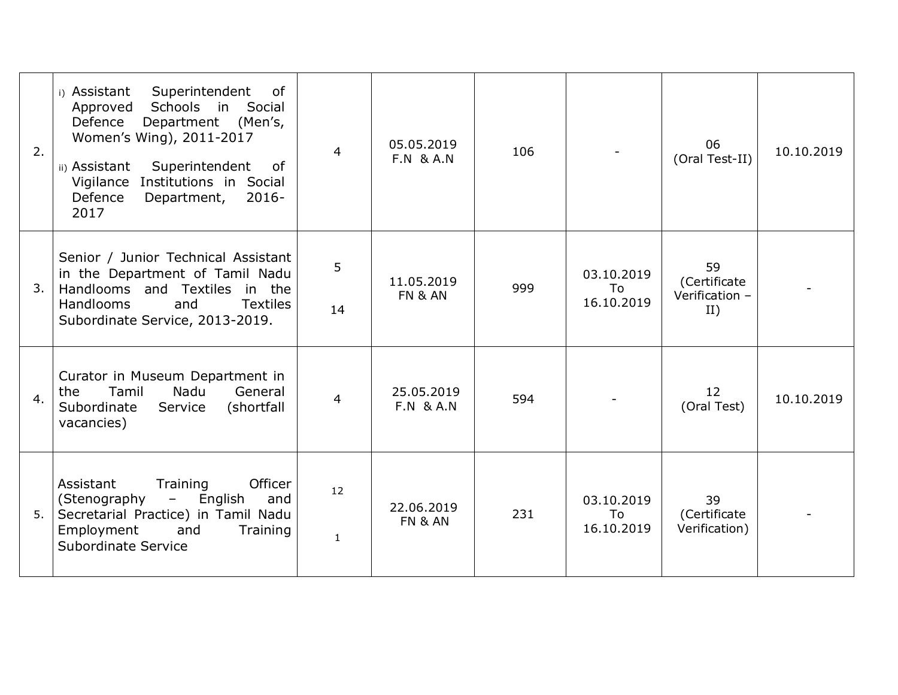| 2.             | Superintendent<br>0f<br>i) Assistant<br>Schools in Social<br>Approved<br>Defence<br>Department (Men's,<br>Women's Wing), 2011-2017<br>Superintendent<br>ii) Assistant<br>0f<br>Vigilance Institutions in Social<br>Defence<br>Department,<br>$2016 -$<br>2017 | 4                  | 05.05.2019<br><b>F.N &amp; A.N</b> | 106 |                                | 06<br>(Oral Test-II)                        | 10.10.2019 |
|----------------|---------------------------------------------------------------------------------------------------------------------------------------------------------------------------------------------------------------------------------------------------------------|--------------------|------------------------------------|-----|--------------------------------|---------------------------------------------|------------|
| 3.             | Senior / Junior Technical Assistant<br>in the Department of Tamil Nadu<br>Handlooms and Textiles in the<br><b>Handlooms</b><br><b>Textiles</b><br>and<br>Subordinate Service, 2013-2019.                                                                      | 5<br>14            | 11.05.2019<br>FN & AN              | 999 | 03.10.2019<br>To<br>16.10.2019 | 59<br>(Certificate<br>Verification -<br>II) |            |
| 4.             | Curator in Museum Department in<br>Nadu<br>General<br>Tamil<br>the<br>Subordinate<br>(shortfall<br>Service<br>vacancies)                                                                                                                                      | 4                  | 25.05.2019<br><b>F.N &amp; A.N</b> | 594 |                                | 12<br>(Oral Test)                           | 10.10.2019 |
| 5 <sub>1</sub> | Officer<br>Assistant<br>Training<br>English<br>(Stenography<br>$\overline{\phantom{m}}$<br>and<br>Secretarial Practice) in Tamil Nadu<br>Employment<br>and<br>Training<br><b>Subordinate Service</b>                                                          | 12<br>$\mathbf{1}$ | 22.06.2019<br><b>FN &amp; AN</b>   | 231 | 03.10.2019<br>To<br>16.10.2019 | 39<br>(Certificate<br>Verification)         |            |